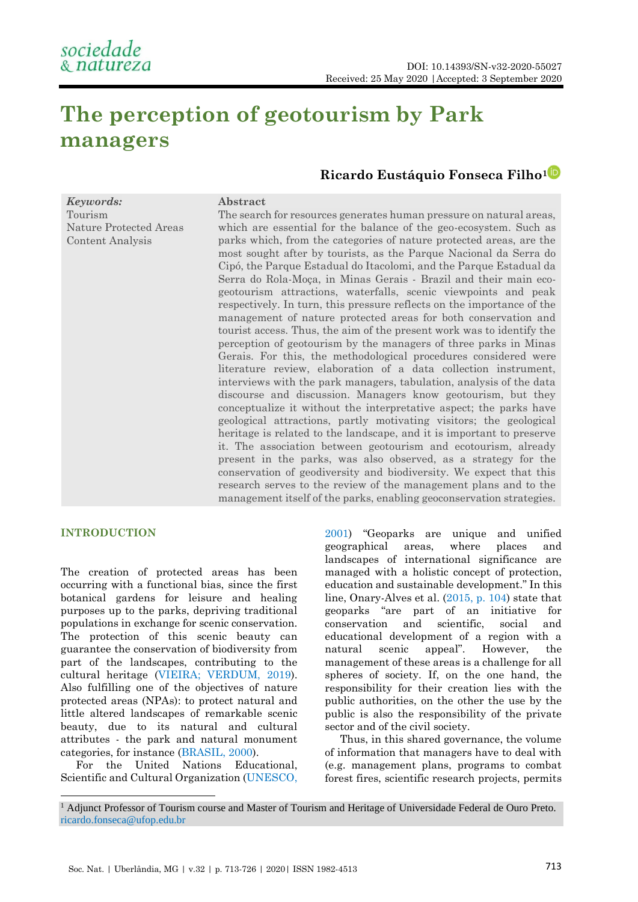# **The perception of geotourism by Park managers**

**Abstract**

# **Ricardo Eustáquio Fonseca Filho<sup>1</sup>**

## *Keywords:* Tourism Nature Protected Areas Content Analysis

The search for resources generates human pressure on natural areas, which are essential for the balance of the geo-ecosystem. Such as parks which, from the categories of nature protected areas, are the most sought after by tourists, as the Parque Nacional da Serra do Cipó, the Parque Estadual do Itacolomi, and the Parque Estadual da Serra do Rola-Moça, in Minas Gerais - Brazil and their main ecogeotourism attractions, waterfalls, scenic viewpoints and peak respectively. In turn, this pressure reflects on the importance of the management of nature protected areas for both conservation and tourist access. Thus, the aim of the present work was to identify the perception of geotourism by the managers of three parks in Minas Gerais. For this, the methodological procedures considered were literature review, elaboration of a data collection instrument, interviews with the park managers, tabulation, analysis of the data discourse and discussion. Managers know geotourism, but they conceptualize it without the interpretative aspect; the parks have geological attractions, partly motivating visitors; the geological heritage is related to the landscape, and it is important to preserve it. The association between geotourism and ecotourism, already present in the parks, was also observed, as a strategy for the conservation of geodiversity and biodiversity. We expect that this research serves to the review of the management plans and to the management itself of the parks, enabling geoconservation strategies.

# **INTRODUCTION**

The creation of protected areas has been occurring with a functional bias, since the first botanical gardens for leisure and healing purposes up to the parks, depriving traditional populations in exchange for scenic conservation. The protection of this scenic beauty can guarantee the conservation of biodiversity from part of the landscapes, contributing to the cultural heritage [\(VIEIRA; VERDUM, 2019\)](#page-13-0). Also fulfilling one of the objectives of nature protected areas (NPAs): to protect natural and little altered landscapes of remarkable scenic beauty, due to its natural and cultural attributes - the park and natural monument categories, for instance [\(BRASIL, 2000\)](#page-10-0).

For the United Nations Educational, Scientific and Cultural Organization [\(UNESCO,](#page-13-1) 

[2001](#page-13-1)) "Geoparks are unique and unified geographical areas, where places and landscapes of international significance are managed with a holistic concept of protection, education and sustainable development." In this line, Onary-Alves et al. (2015, [p. 104\)](#page-12-0) state that geoparks "are part of an initiative for conservation and scientific, social and educational development of a region with a natural scenic appeal". However, the management of these areas is a challenge for all spheres of society. If, on the one hand, the responsibility for their creation lies with the public authorities, on the other the use by the public is also the responsibility of the private sector and of the civil society.

Thus, in this shared governance, the volume of information that managers have to deal with (e.g. management plans, programs to combat forest fires, scientific research projects, permits

<sup>&</sup>lt;sup>1</sup> Adjunct Professor of Tourism course and Master of Tourism and Heritage of Universidade Federal de Ouro Preto. [ricardo.fonseca@ufop.edu.br](file:///C:/Users/Usuario/Downloads/ricardo.fonseca@ufop.edu.br)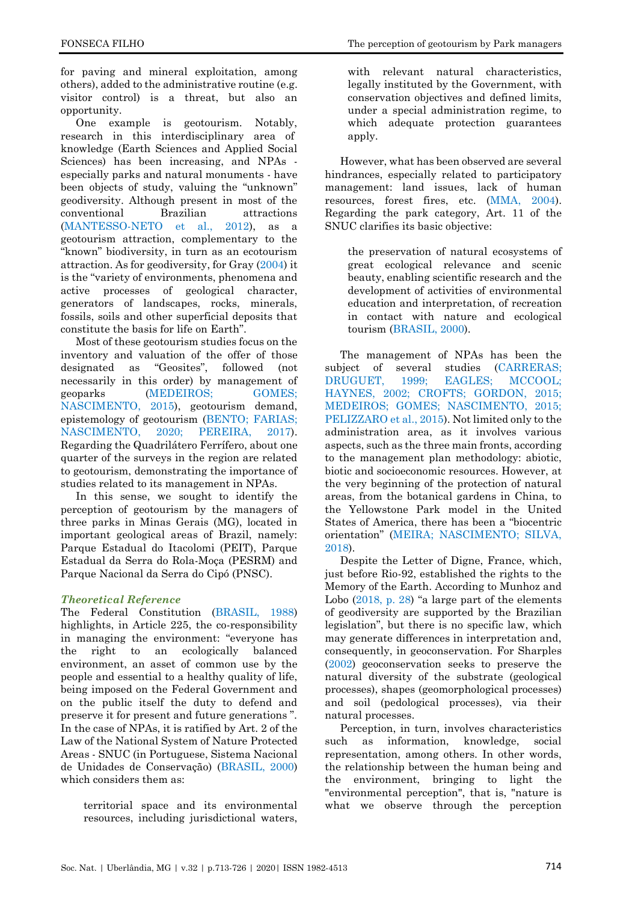FONSECA FILHO The perception of geotourism by Park managers

for paving and mineral exploitation, among others), added to the administrative routine (e.g. visitor control) is a threat, but also an opportunity.

One example is geotourism. Notably, research in this interdisciplinary area of knowledge (Earth Sciences and Applied Social Sciences) has been increasing, and NPAs especially parks and natural monuments - have been objects of study, valuing the "unknown" geodiversity. Although present in most of the conventional Brazilian attractions [\(MANTESSO-NETO et al., 2012\)](#page-12-1), as a geotourism attraction, complementary to the "known" biodiversity, in turn as an ecotourism attraction. As for geodiversity, for Gray [\(2004\)](#page-11-0) it is the "variety of environments, phenomena and active processes of geological character, generators of landscapes, rocks, minerals, fossils, soils and other superficial deposits that constitute the basis for life on Earth".

Most of these geotourism studies focus on the inventory and valuation of the offer of those designated as "Geosites", followed (not necessarily in this order) by management of geoparks [\(MEDEIROS; GOMES;](#page-12-2)  [NASCIMENTO, 2015\)](#page-12-2), geotourism demand, epistemology of geotourism [\(BENTO; FARIAS;](#page-10-1)  [NASCIMENTO, 2020;](#page-10-1) [PEREIRA, 2017\)](#page-13-2). Regarding the Quadrilátero Ferrífero, about one quarter of the surveys in the region are related to geotourism, demonstrating the importance of studies related to its management in NPAs.

In this sense, we sought to identify the perception of geotourism by the managers of three parks in Minas Gerais (MG), located in important geological areas of Brazil, namely: Parque Estadual do Itacolomi (PEIT), Parque Estadual da Serra do Rola-Moça (PESRM) and Parque Nacional da Serra do Cipó (PNSC).

# *Theoretical Reference*

The Federal Constitution [\(BRASIL, 1988\)](#page-10-2) highlights, in Article 225, the co-responsibility in managing the environment: "everyone has the right to an ecologically balanced environment, an asset of common use by the people and essential to a healthy quality of life, being imposed on the Federal Government and on the public itself the duty to defend and preserve it for present and future generations ". In the case of NPAs, it is ratified by Art. 2 of the Law of the National System of Nature Protected Areas - SNUC (in Portuguese, Sistema Nacional de Unidades de Conservação) [\(BRASIL, 2000\)](#page-10-0) which considers them as:

territorial space and its environmental resources, including jurisdictional waters,

with relevant natural characteristics, legally instituted by the Government, with conservation objectives and defined limits, under a special administration regime, to which adequate protection guarantees apply.

However, what has been observed are several hindrances, especially related to participatory management: land issues, lack of human resources, forest fires, etc. [\(MMA, 2004\)](#page-12-3). Regarding the park category, Art. 11 of the SNUC clarifies its basic objective:

the preservation of natural ecosystems of great ecological relevance and scenic beauty, enabling scientific research and the development of activities of environmental education and interpretation, of recreation in contact with nature and ecological tourism [\(BRASIL, 2000\)](#page-10-0).

The management of NPAs has been the subject of several studies (CARRERAS; [DRUGUET, 1999;](#page-10-3) EAGLES; MCCOOL; [HAYNES, 2002;](#page-11-1) [CROFTS; GORDON, 2015;](#page-10-4) [MEDEIROS; GOMES; NASCIMENTO, 2015;](#page-12-2) [PELIZZARO et al., 2015\)](#page-12-4). Not limited only to the administration area, as it involves various aspects, such as the three main fronts, according to the management plan methodology: abiotic, biotic and socioeconomic resources. However, at the very beginning of the protection of natural areas, from the botanical gardens in China, to the Yellowstone Park model in the United States of America, there has been a "biocentric orientation" [\(MEIRA; NASCIMENTO; SILVA,](#page-12-5)  [2018\)](#page-12-5).

Despite the Letter of Digne, France, which, just before Rio-92, established the rights to the Memory of the Earth. According to Munhoz and Lobo [\(2018, p. 28\)](#page-12-6) "a large part of the elements of geodiversity are supported by the Brazilian legislation", but there is no specific law, which may generate differences in interpretation and, consequently, in geoconservation. For Sharples [\(2002\)](#page-13-3) geoconservation seeks to preserve the natural diversity of the substrate (geological processes), shapes (geomorphological processes) and soil (pedological processes), via their natural processes.

Perception, in turn, involves characteristics such as information, knowledge, social representation, among others. In other words, the relationship between the human being and the environment, bringing to light the "environmental perception", that is, "nature is what we observe through the perception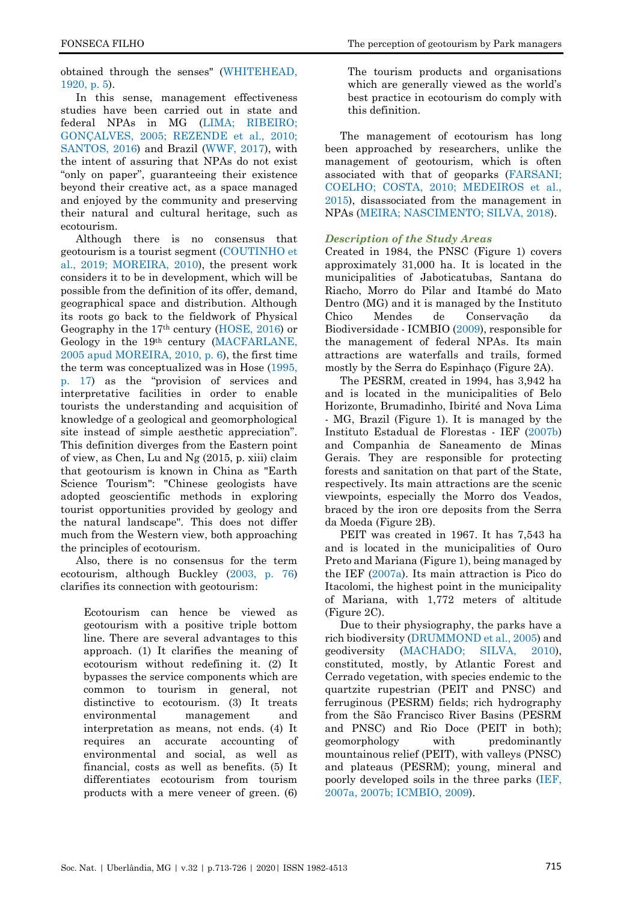obtained through the senses" [\(WHITEHEAD,](#page-13-4)  [1920, p. 5\)](#page-13-4).

In this sense, management effectiveness studies have been carried out in state and federal NPAs in MG [\(LIMA; RIBEIRO;](#page-12-7)  [GONÇALVES, 2005;](#page-12-7) [REZENDE et al., 2010;](#page-13-5) [SANTOS, 2016\)](#page-13-6) and Brazil [\(WWF, 2017\)](#page-13-7), with the intent of assuring that NPAs do not exist "only on paper", guaranteeing their existence beyond their creative act, as a space managed and enjoyed by the community and preserving their natural and cultural heritage, such as ecotourism.

Although there is no consensus that geotourism is a tourist segment [\(COUTINHO et](#page-10-5)  [al., 2019;](#page-10-5) [MOREIRA, 2010\)](#page-12-8), the present work considers it to be in development, which will be possible from the definition of its offer, demand, geographical space and distribution. Although its roots go back to the fieldwork of Physical Geography in the 17th century [\(HOSE, 2016\)](#page-11-2) or Geology in the 19th century [\(MACFARLANE,](#page-12-8)  [2005 apud MOREIRA, 2010, p. 6\)](#page-12-8), the first time the term was conceptualized was in Hose [\(1995,](#page-11-3)  p. [17\)](#page-11-3) as the "provision of services and interpretative facilities in order to enable tourists the understanding and acquisition of knowledge of a geological and geomorphological site instead of simple aesthetic appreciation". This definition diverges from the Eastern point of view, as Chen, Lu and Ng (2015, p. xiii) claim that geotourism is known in China as "Earth Science Tourism": "Chinese geologists have adopted geoscientific methods in exploring tourist opportunities provided by geology and the natural landscape". This does not differ much from the Western view, both approaching the principles of ecotourism.

Also, there is no consensus for the term ecotourism, although Buckley [\(2003, p.](#page-10-6) 76) clarifies its connection with geotourism:

Ecotourism can hence be viewed as geotourism with a positive triple bottom line. There are several advantages to this approach. (1) It clarifies the meaning of ecotourism without redefining it. (2) It bypasses the service components which are common to tourism in general, not distinctive to ecotourism. (3) It treats environmental management and interpretation as means, not ends. (4) It requires an accurate accounting of environmental and social, as well as financial, costs as well as benefits. (5) It differentiates ecotourism from tourism products with a mere veneer of green. (6) The tourism products and organisations which are generally viewed as the world's best practice in ecotourism do comply with this definition.

The management of ecotourism has long been approached by researchers, unlike the management of geotourism, which is often associated with that of geoparks [\(FARSANI;](#page-11-4)  [COELHO; COSTA, 2010;](#page-11-4) [MEDEIROS et al.,](#page-12-2)  [2015\)](#page-12-2), disassociated from the management in NPAs [\(MEIRA; NASCIMENTO; SILVA, 2018\)](#page-12-5).

# *Description of the Study Areas*

Created in 1984, the PNSC (Figure 1) covers approximately 31,000 ha. It is located in the municipalities of Jaboticatubas, Santana do Riacho, Morro do Pilar and Itambé do Mato Dentro (MG) and it is managed by the Instituto Chico Mendes de Conservação da Biodiversidade - ICMBIO [\(2009\)](#page-11-5), responsible for the management of federal NPAs. Its main attractions are waterfalls and trails, formed mostly by the Serra do Espinhaço (Figure 2A).

The PESRM, created in 1994, has 3,942 ha and is located in the municipalities of Belo Horizonte, Brumadinho, Ibirité and Nova Lima - MG, Brazil (Figure 1). It is managed by the Instituto Estadual de Florestas - IEF [\(2007b\)](#page-12-9) and Companhia de Saneamento de Minas Gerais. They are responsible for protecting forests and sanitation on that part of the State, respectively. Its main attractions are the scenic viewpoints, especially the Morro dos Veados, braced by the iron ore deposits from the Serra da Moeda (Figure 2B).

PEIT was created in 1967. It has 7,543 ha and is located in the municipalities of Ouro Preto and Mariana (Figure 1), being managed by the IEF [\(2007a\)](#page-12-10). Its main attraction is Pico do Itacolomi, the highest point in the municipality of Mariana, with 1,772 meters of altitude (Figure 2C).

Due to their physiography, the parks have a rich biodiversity [\(DRUMMOND et al., 2005\)](#page-11-6) and geodiversity [\(MACHADO; SILVA, 2010\)](#page-12-11), constituted, mostly, by Atlantic Forest and Cerrado vegetation, with species endemic to the quartzite rupestrian (PEIT and PNSC) and ferruginous (PESRM) fields; rich hydrography from the São Francisco River Basins (PESRM and PNSC) and Rio Doce (PEIT in both); geomorphology with predominantly mountainous relief (PEIT), with valleys (PNSC) and plateaus (PESRM); young, mineral and poorly developed soils in the three parks [\(IEF,](#page-12-10)  [2007a,](#page-12-10) [2007b](#page-12-9)[; ICMBIO, 2009\)](#page-11-5).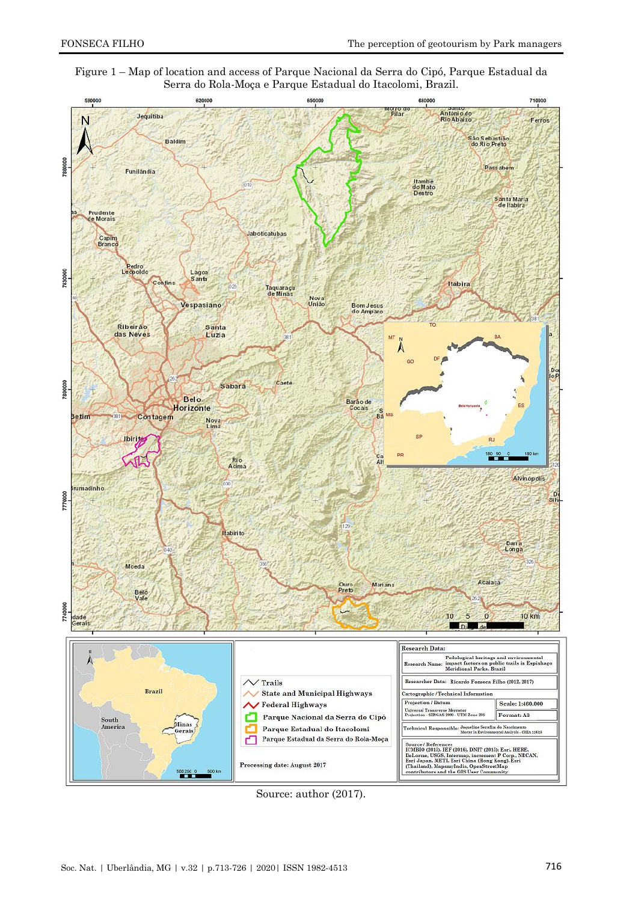



Source: author (2017).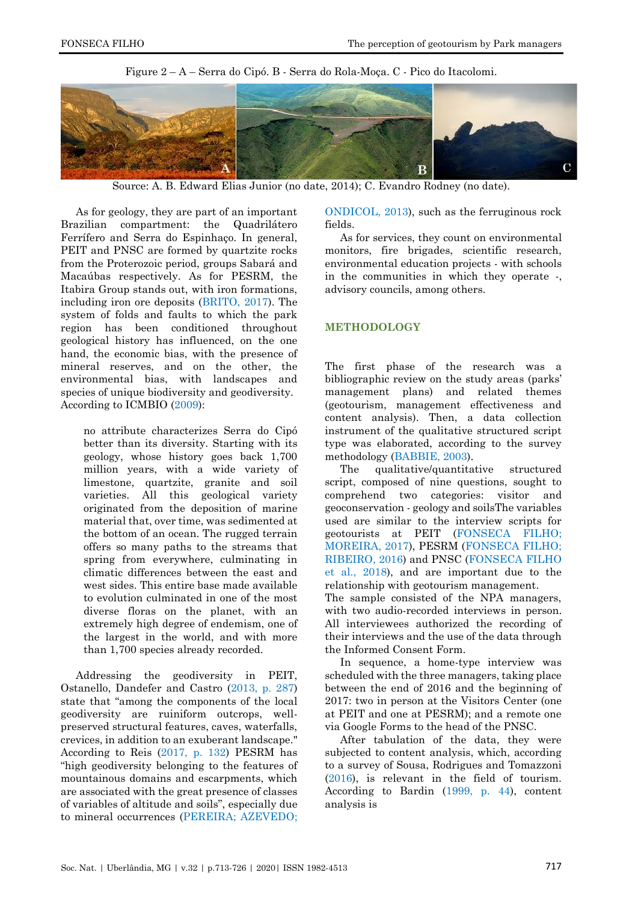

Figure 2 – A – Serra do Cipó. B - Serra do Rola-Moça. C - Pico do Itacolomi.

Source: A. B. Edward Elias Junior (no date, 2014); C. Evandro Rodney (no date).

As for geology, they are part of an important Brazilian compartment: the Quadrilátero Ferrífero and Serra do Espinhaço. In general, PEIT and PNSC are formed by quartzite rocks from the Proterozoic period, groups Sabará and Macaúbas respectively. As for PESRM, the Itabira Group stands out, with iron formations, including iron ore deposits [\(BRITO, 2017\)](#page-10-7). The system of folds and faults to which the park region has been conditioned throughout geological history has influenced, on the one hand, the economic bias, with the presence of mineral reserves, and on the other, the environmental bias, with landscapes and species of unique biodiversity and geodiversity. According to ICMBIO [\(2009\)](#page-11-5):

no attribute characterizes Serra do Cipó better than its diversity. Starting with its geology, whose history goes back 1,700 million years, with a wide variety of limestone, quartzite, granite and soil varieties. All this geological variety originated from the deposition of marine material that, over time, was sedimented at the bottom of an ocean. The rugged terrain offers so many paths to the streams that spring from everywhere, culminating in climatic differences between the east and west sides. This entire base made available to evolution culminated in one of the most diverse floras on the planet, with an extremely high degree of endemism, one of the largest in the world, and with more than 1,700 species already recorded.

Addressing the geodiversity in PEIT, Ostanello, Dandefer and Castro [\(2013, p. 287\)](#page-12-12) state that "among the components of the local geodiversity are ruiniform outcrops, wellpreserved structural features, caves, waterfalls, crevices, in addition to an exuberant landscape." According to Reis [\(2017, p. 132\)](#page-13-8) PESRM has "high geodiversity belonging to the features of mountainous domains and escarpments, which are associated with the great presence of classes of variables of altitude and soils", especially due to mineral occurrences [\(PEREIRA; AZEVEDO;](#page-13-9) 

[ONDICOL, 2013\)](#page-13-9), such as the ferruginous rock fields.

As for services, they count on environmental monitors, fire brigades, scientific research, environmental education projects - with schools in the communities in which they operate -, advisory councils, among others.

#### **METHODOLOGY**

The first phase of the research was a bibliographic review on the study areas (parks' management plans) and related themes (geotourism, management effectiveness and content analysis). Then, a data collection instrument of the qualitative structured script type was elaborated, according to the survey methodology [\(BABBIE, 2003\)](#page-10-8).

The qualitative/quantitative structured script, composed of nine questions, sought to comprehend two categories: visitor and geoconservation - geology and soilsThe variables used are similar to the interview scripts for geotourists at PEIT [\(FONSECA FILHO;](#page-11-7)  [MOREIRA, 2017\)](#page-11-7), PESRM [\(FONSECA FILHO;](#page-11-8)  [RIBEIRO, 2016\)](#page-11-8) and PNSC [\(FONSECA FILHO](#page-11-9)  [et al., 2018\)](#page-11-9), and are important due to the relationship with geotourism management.

The sample consisted of the NPA managers, with two audio-recorded interviews in person. All interviewees authorized the recording of their interviews and the use of the data through the Informed Consent Form.

In sequence, a home-type interview was scheduled with the three managers, taking place between the end of 2016 and the beginning of 2017: two in person at the Visitors Center (one at PEIT and one at PESRM); and a remote one via Google Forms to the head of the PNSC.

After tabulation of the data, they were subjected to content analysis, which, according to a survey of Sousa, Rodrigues and Tomazzoni [\(2016\)](#page-13-10), is relevant in the field of tourism. According to Bardin [\(1999, p. 44\)](#page-10-9), content analysis is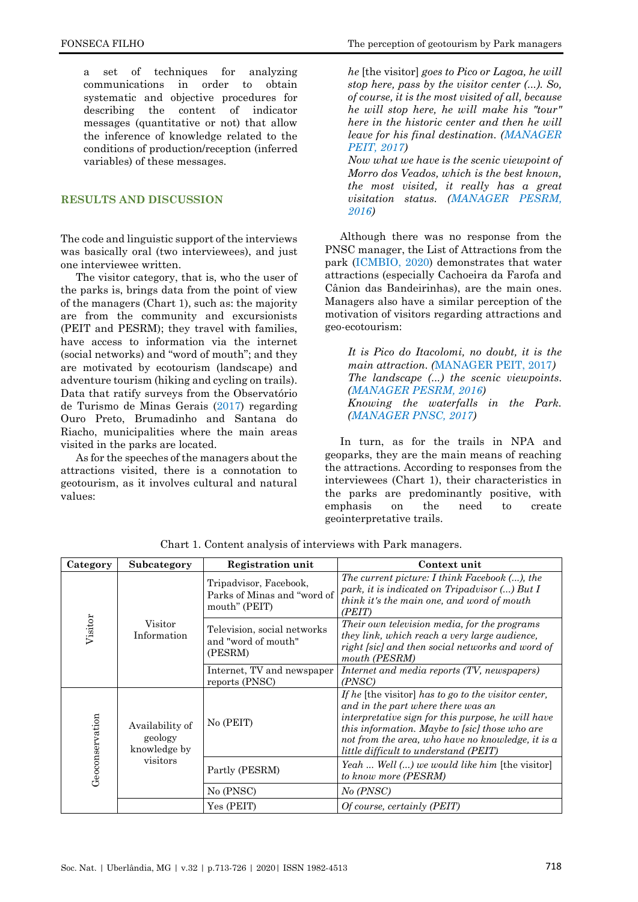a set of techniques for analyzing communications in order to obtain systematic and objective procedures for describing the content of indicator messages (quantitative or not) that allow the inference of knowledge related to the conditions of production/reception (inferred variables) of these messages.

### **RESULTS AND DISCUSSION**

The code and linguistic support of the interviews was basically oral (two interviewees), and just one interviewee written.

The visitor category, that is, who the user of the parks is, brings data from the point of view of the managers (Chart 1), such as: the majority are from the community and excursionists (PEIT and PESRM); they travel with families, have access to information via the internet (social networks) and "word of mouth"; and they are motivated by ecotourism (landscape) and adventure tourism (hiking and cycling on trails). Data that ratify surveys from the Observatório de Turismo de Minas Gerais [\(2017\)](#page-12-13) regarding Ouro Preto, Brumadinho and Santana do Riacho, municipalities where the main areas visited in the parks are located.

As for the speeches of the managers about the attractions visited, there is a connotation to geotourism, as it involves cultural and natural values:

*he* [the visitor] *goes to Pico or Lagoa, he will stop here, pass by the visitor center (...). So, of course, it is the most visited of all, because he will stop here, he will make his "tour" here in the historic center and then he will leave for his final destination. [\(MANAGER](#page-11-10)  [PEIT, 2017\)](#page-11-10)*

*Now what we have is the scenic viewpoint of Morro dos Veados, which is the best known, the most visited, it really has a great visitation status. [\(MANAGER PESRM,](#page-11-11)  [2016](#page-11-11))*

Although there was no response from the PNSC manager, the List of Attractions from the park [\(ICMBIO, 2020\)](#page-11-12) demonstrates that water attractions (especially Cachoeira da Farofa and Cânion das Bandeirinhas), are the main ones. Managers also have a similar perception of the motivation of visitors regarding attractions and geo-ecotourism:

*It is Pico do Itacolomi, no doubt, it is the main attraction. (*MANAGER PEIT, 2017*) The landscape (...) the scenic viewpoints. [\(MANAGER PESRM, 2016\)](#page-11-11) Knowing the waterfalls in the Park. [\(MANAGER PNSC, 2017\)](#page-11-13)*

In turn, as for the trails in NPA and geoparks, they are the main means of reaching the attractions. According to responses from the interviewees (Chart 1), their characteristics in the parks are predominantly positive, with emphasis on the need to create geointerpretative trails.

| Category        | Subcategory                                            | <b>Registration unit</b>                                               | Context unit                                                                                                                                                                                                                                                                                            |
|-----------------|--------------------------------------------------------|------------------------------------------------------------------------|---------------------------------------------------------------------------------------------------------------------------------------------------------------------------------------------------------------------------------------------------------------------------------------------------------|
| Visitor         | $V\mathrm{isitor}$<br>Information                      | Tripadvisor, Facebook,<br>Parks of Minas and "word of<br>mouth" (PEIT) | The current picture: I think Facebook (), the<br>park, it is indicated on Tripadvisor $()$ But I<br>think it's the main one, and word of mouth<br>(PEIT)                                                                                                                                                |
|                 |                                                        | Television, social networks<br>and "word of mouth"<br>(PESRM)          | Their own television media, for the programs<br>they link, which reach a very large audience,<br>right [sic] and then social networks and word of<br>mouth (PESRM)                                                                                                                                      |
|                 |                                                        | Internet, TV and newspaper<br>reports (PNSC)                           | Internet and media reports (TV, newspapers)<br>(PNSC)                                                                                                                                                                                                                                                   |
| Geoconservation | Availability of<br>geology<br>knowledge by<br>visitors | No (PEIT)                                                              | If he [the visitor] has to go to the visitor center,<br>and in the part where there was an<br>interpretative sign for this purpose, he will have<br>this information. Maybe to [sic] those who are<br>not from the area, who have no knowledge, it is a<br><i>little difficult to understand (PEIT)</i> |
|                 |                                                        | Partly (PESRM)                                                         | Yeah  Well () we would like him [the visitor]<br>to know more (PESRM)                                                                                                                                                                                                                                   |
|                 |                                                        | No (PNSC)                                                              | No (PNSC)                                                                                                                                                                                                                                                                                               |
|                 |                                                        | Yes (PEIT)                                                             | <i>Of course, certainly (PEIT)</i>                                                                                                                                                                                                                                                                      |

Chart 1. Content analysis of interviews with Park managers.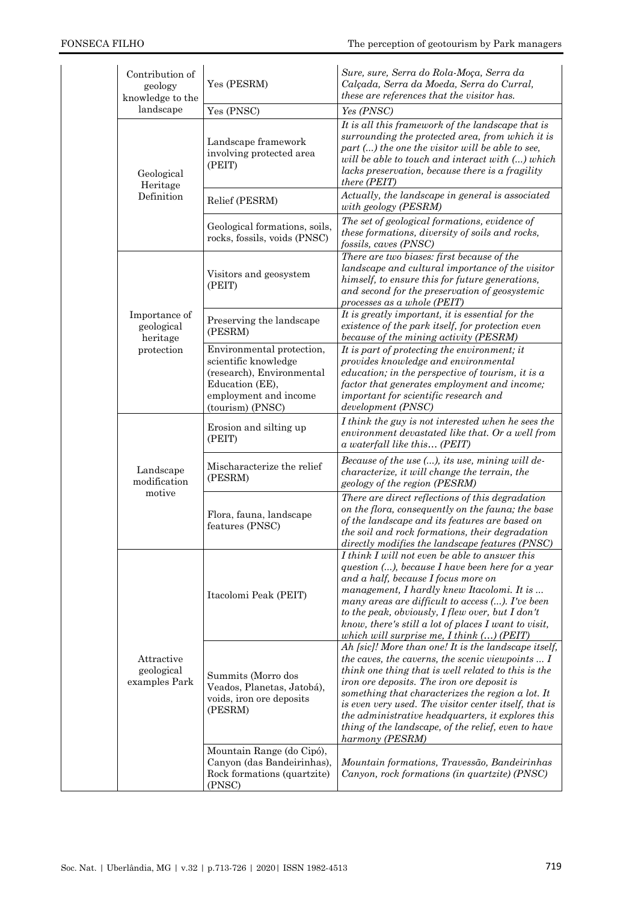| Contribution of<br>geology<br>knowledge to the | Yes (PESRM)                                                                                                                                    | Sure, sure, Serra do Rola-Moça, Serra da<br>Calçada, Serra da Moeda, Serra do Curral,<br>these are references that the visitor has.                                                                                                                                                                                                                                                                                                                                |
|------------------------------------------------|------------------------------------------------------------------------------------------------------------------------------------------------|--------------------------------------------------------------------------------------------------------------------------------------------------------------------------------------------------------------------------------------------------------------------------------------------------------------------------------------------------------------------------------------------------------------------------------------------------------------------|
| landscape                                      | Yes (PNSC)                                                                                                                                     | Yes (PNSC)                                                                                                                                                                                                                                                                                                                                                                                                                                                         |
| Geological<br>Heritage                         | Landscape framework<br>involving protected area<br>(PEIT)                                                                                      | It is all this framework of the landscape that is<br>surrounding the protected area, from which it is<br>part () the one the visitor will be able to see,<br>will be able to touch and interact with () which<br>lacks preservation, because there is a fragility<br>there (PEIT)                                                                                                                                                                                  |
| Definition                                     | Relief (PESRM)                                                                                                                                 | Actually, the landscape in general is associated<br>with geology (PESRM)                                                                                                                                                                                                                                                                                                                                                                                           |
|                                                | Geological formations, soils,<br>rocks, fossils, voids (PNSC)                                                                                  | The set of geological formations, evidence of<br>these formations, diversity of soils and rocks,<br>fossils, caves (PNSC)                                                                                                                                                                                                                                                                                                                                          |
|                                                | Visitors and geosystem<br>(PEIT)                                                                                                               | There are two biases: first because of the<br>landscape and cultural importance of the visitor<br>himself, to ensure this for future generations,<br>and second for the preservation of geosystemic<br>processes as a whole (PEIT)                                                                                                                                                                                                                                 |
| Importance of<br>geological<br>heritage        | Preserving the landscape<br>(PESRM)                                                                                                            | It is greatly important, it is essential for the<br>existence of the park itself, for protection even<br>because of the mining activity (PESRM)                                                                                                                                                                                                                                                                                                                    |
| protection                                     | Environmental protection,<br>scientific knowledge<br>(research), Environmental<br>Education (EE),<br>employment and income<br>(tourism) (PNSC) | It is part of protecting the environment; it<br>provides knowledge and environmental<br>education; in the perspective of tourism, it is $a$<br>factor that generates employment and income;<br>important for scientific research and<br>development (PNSC)                                                                                                                                                                                                         |
|                                                | Erosion and silting up<br>(PEIT)                                                                                                               | I think the guy is not interested when he sees the<br>environment devastated like that. Or a well from<br>a waterfall like this (PEIT)                                                                                                                                                                                                                                                                                                                             |
| Landscape<br>modification                      | Mischaracterize the relief<br>(PESRM)                                                                                                          | Because of the use (), its use, mining will de-<br>characterize, it will change the terrain, the<br>geology of the region (PESRM)                                                                                                                                                                                                                                                                                                                                  |
| motive                                         | Flora, fauna, landscape<br>features (PNSC)                                                                                                     | There are direct reflections of this degradation<br>on the flora, consequently on the fauna; the base<br>of the landscape and its features are based on<br>the soil and rock formations, their degradation<br>directly modifies the landscape features (PNSC)                                                                                                                                                                                                      |
|                                                | Itacolomi Peak (PEIT)                                                                                                                          | I think I will not even be able to answer this<br>question (), because I have been here for a year<br>and a half, because I focus more on<br>management, I hardly knew Itacolomi. It is<br>many areas are difficult to access (). I've been<br>to the peak, obviously, $I$ flew over, but $I$ don't<br>know, there's still $a$ lot of places I want to visit,<br>which will surprise me, $I$ think $()$ (PEIT)                                                     |
| Attractive<br>geological<br>examples Park      | Summits (Morro dos<br>Veados, Planetas, Jatobá),<br>voids, iron ore deposits<br>(PESRM)                                                        | Ah [sic]! More than one! It is the landscape itself,<br>the caves, the caverns, the scenic viewpoints $\ldots I$<br>think one thing that is well related to this is the<br>iron ore deposits. The iron ore deposit is<br>something that characterizes the region a lot. It<br>is even very used. The visitor center itself, that is<br>the administrative headquarters, it explores this<br>thing of the landscape, of the relief, even to have<br>harmony (PESRM) |
|                                                | Mountain Range (do Cipó),<br>Canyon (das Bandeirinhas),<br>Rock formations (quartzite)<br>(PNSC)                                               | Mountain formations, Travessão, Bandeirinhas<br>Canyon, rock formations (in quartzite) (PNSC)                                                                                                                                                                                                                                                                                                                                                                      |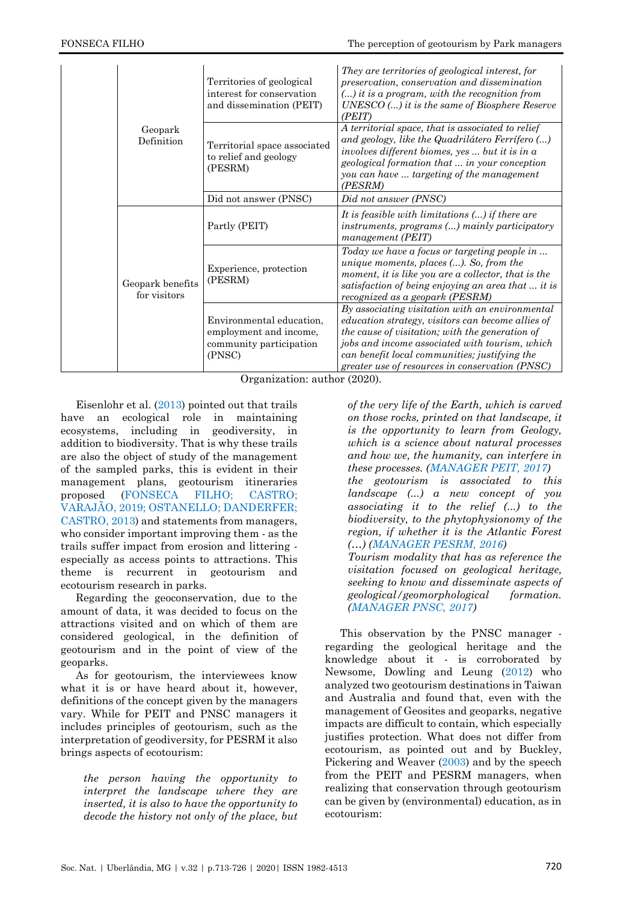| Geopark<br>Definition            | Territories of geological<br>interest for conservation<br>and dissemination (PEIT)      | They are territories of geological interest, for<br>preservation, conservation and dissemination<br>$()$ it is a program, with the recognition from<br>$UNESCO$ $()$ it is the same of Biosphere Reserve<br>(PEIT)                                                                                            |
|----------------------------------|-----------------------------------------------------------------------------------------|---------------------------------------------------------------------------------------------------------------------------------------------------------------------------------------------------------------------------------------------------------------------------------------------------------------|
|                                  | Territorial space associated<br>to relief and geology<br>(PESRM)                        | A territorial space, that is associated to relief<br>and geology, like the Quadrilátero Ferrífero ()<br>involves different biomes, yes  but it is in a<br>geological formation that  in your conception<br>you can have  targeting of the management<br>(PESRM)                                               |
|                                  | Did not answer (PNSC)                                                                   | Did not answer (PNSC)                                                                                                                                                                                                                                                                                         |
| Geopark benefits<br>for visitors | Partly (PEIT)                                                                           | It is feasible with limitations $()$ if there are<br>instruments, programs () mainly participatory<br>management (PEIT)                                                                                                                                                                                       |
|                                  | Experience, protection<br>(PESRM)                                                       | Today we have a focus or targeting people in<br>unique moments, places $()$ . So, from the<br>moment, it is like you are a collector, that is the<br>satisfaction of being enjoying an area that  it is<br>recognized as a geopark (PESRM)                                                                    |
|                                  | Environmental education,<br>employment and income,<br>community participation<br>(PNSC) | By associating visitation with an environmental<br>education strategy, visitors can become allies of<br>the cause of visitation; with the generation of<br>jobs and income associated with tourism, which<br>can benefit local communities; justifying the<br>greater use of resources in conservation (PNSC) |

Organization: author (2020).

Eisenlohr et al. [\(2013\)](#page-11-14) pointed out that trails have an ecological role in maintaining ecosystems, including in geodiversity, in addition to biodiversity. That is why these trails are also the object of study of the management of the sampled parks, this is evident in their management plans, geotourism itineraries proposed [\(FONSECA FILHO; CASTRO;](#page-11-15)  [VARAJÃO, 2019;](#page-11-15) [OSTANELLO; DANDERFER;](#page-12-12)  [CASTRO, 2013\)](#page-12-12) and statements from managers, who consider important improving them - as the trails suffer impact from erosion and littering especially as access points to attractions. This theme is recurrent in geotourism and ecotourism research in parks.

Regarding the geoconservation, due to the amount of data, it was decided to focus on the attractions visited and on which of them are considered geological, in the definition of geotourism and in the point of view of the geoparks.

As for geotourism, the interviewees know what it is or have heard about it, however, definitions of the concept given by the managers vary. While for PEIT and PNSC managers it includes principles of geotourism, such as the interpretation of geodiversity, for PESRM it also brings aspects of ecotourism:

*the person having the opportunity to interpret the landscape where they are inserted, it is also to have the opportunity to decode the history not only of the place, but*  *of the very life of the Earth, which is carved on those rocks, printed on that landscape, it is the opportunity to learn from Geology, which is a science about natural processes and how we, the humanity, can interfere in these processes. [\(MANAGER PEIT, 2017\)](#page-11-10) the geotourism is associated to this landscape (...) a new concept of you associating it to the relief (...) to the biodiversity, to the phytophysionomy of the region, if whether it is the Atlantic Forest (…) [\(MANAGER PESRM, 2016\)](#page-11-11) Tourism modality that has as reference the visitation focused on geological heritage, seeking to know and disseminate aspects of geological/geomorphological formation. [\(MANAGER PNSC, 2017\)](#page-11-13)*

This observation by the PNSC manager regarding the geological heritage and the knowledge about it - is corroborated by Newsome, Dowling and Leung [\(2012\)](#page-12-14) who analyzed two geotourism destinations in Taiwan and Australia and found that, even with the management of Geosites and geoparks, negative impacts are difficult to contain, which especially justifies protection. What does not differ from ecotourism, as pointed out and by Buckley, Pickering and Weaver [\(2003\)](#page-10-9) and by the speech from the PEIT and PESRM managers, when realizing that conservation through geotourism can be given by (environmental) education, as in ecotourism: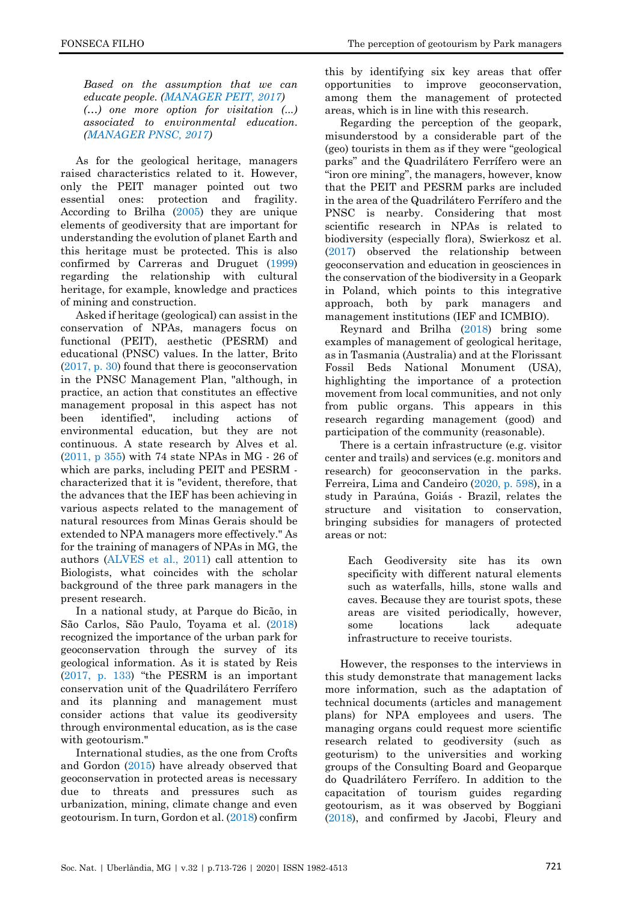*Based on the assumption that we can educate people. [\(MANAGER PEIT, 2017\)](#page-11-10) (…) one more option for visitation (...) associated to environmental education. [\(MANAGER PNSC, 2017\)](#page-11-13)*

As for the geological heritage, managers raised characteristics related to it. However, only the PEIT manager pointed out two essential ones: protection and fragility. According to Brilha [\(2005\)](#page-10-10) they are unique elements of geodiversity that are important for understanding the evolution of planet Earth and this heritage must be protected. This is also confirmed by Carreras and Druguet [\(1999\)](#page-10-3) regarding the relationship with cultural heritage, for example, knowledge and practices of mining and construction.

Asked if heritage (geological) can assist in the conservation of NPAs, managers focus on functional (PEIT), aesthetic (PESRM) and educational (PNSC) values. In the latter, Brito [\(2017, p. 30\)](#page-10-7) found that there is geoconservation in the PNSC Management Plan, "although, in practice, an action that constitutes an effective management proposal in this aspect has not been identified", including actions of environmental education, but they are not continuous. A state research by Alves et al. [\(2011, p 355\)](#page-10-11) with 74 state NPAs in MG - 26 of which are parks, including PEIT and PESRM characterized that it is "evident, therefore, that the advances that the IEF has been achieving in various aspects related to the management of natural resources from Minas Gerais should be extended to NPA managers more effectively." As for the training of managers of NPAs in MG, the authors [\(ALVES et al., 2011\)](#page-10-11) call attention to Biologists, what coincides with the scholar background of the three park managers in the present research.

In a national study, at Parque do Bicão, in São Carlos, São Paulo, Toyama et al. [\(2018\)](#page-13-11) recognized the importance of the urban park for geoconservation through the survey of its geological information. As it is stated by Reis [\(2017, p. 133](#page-13-8)) "the PESRM is an important conservation unit of the Quadrilátero Ferrífero and its planning and management must consider actions that value its geodiversity through environmental education, as is the case with geotourism."

International studies, as the one from Crofts and Gordon [\(2015\)](#page-10-4) have already observed that geoconservation in protected areas is necessary due to threats and pressures such as urbanization, mining, climate change and even geotourism. In turn, Gordon et al. [\(2018\)](#page-11-16) confirm this by identifying six key areas that offer opportunities to improve geoconservation, among them the management of protected areas, which is in line with this research.

Regarding the perception of the geopark, misunderstood by a considerable part of the (geo) tourists in them as if they were "geological parks" and the Quadrilátero Ferrífero were an "iron ore mining", the managers, however, know that the PEIT and PESRM parks are included in the area of the Quadrilátero Ferrífero and the PNSC is nearby. Considering that most scientific research in NPAs is related to biodiversity (especially flora), Swierkosz et al. [\(2017\)](#page-13-12) observed the relationship between geoconservation and education in geosciences in the conservation of the biodiversity in a Geopark in Poland, which points to this integrative approach, both by park managers and management institutions (IEF and ICMBIO).

Reynard and Brilha [\(2018\)](#page-13-13) bring some examples of management of geological heritage, as in Tasmania (Australia) and at the Florissant Fossil Beds National Monument (USA), highlighting the importance of a protection movement from local communities, and not only from public organs. This appears in this research regarding management (good) and participation of the community (reasonable).

There is a certain infrastructure (e.g. visitor center and trails) and services (e.g. monitors and research) for geoconservation in the parks. Ferreira, Lima and Candeiro [\(2020, p. 598\)](#page-11-17), in a study in Paraúna, Goiás - Brazil, relates the structure and visitation to conservation, bringing subsidies for managers of protected areas or not:

Each Geodiversity site has its own specificity with different natural elements such as waterfalls, hills, stone walls and caves. Because they are tourist spots, these areas are visited periodically, however, some locations lack adequate infrastructure to receive tourists.

However, the responses to the interviews in this study demonstrate that management lacks more information, such as the adaptation of technical documents (articles and management plans) for NPA employees and users. The managing organs could request more scientific research related to geodiversity (such as geoturism) to the universities and working groups of the Consulting Board and Geoparque do Quadrilátero Ferrífero. In addition to the capacitation of tourism guides regarding geotourism, as it was observed by Boggiani [\(2018\)](#page-10-12), and confirmed by Jacobi, Fleury and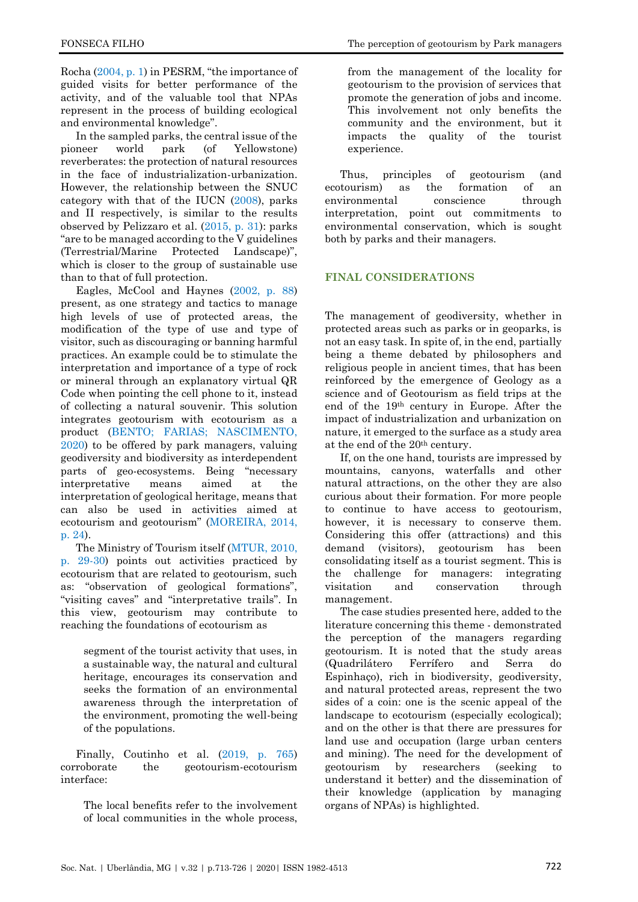Rocha [\(2004, p. 1\)](#page-12-15) in PESRM, "the importance of guided visits for better performance of the activity, and of the valuable tool that NPAs represent in the process of building ecological and environmental knowledge".

In the sampled parks, the central issue of the pioneer world park (of Yellowstone) reverberates: the protection of natural resources in the face of industrialization-urbanization. However, the relationship between the SNUC category with that of the IUCN [\(2008\)](#page-12-16), parks and II respectively, is similar to the results observed by Pelizzaro et al. [\(2015, p. 31\)](#page-12-4): parks "are to be managed according to the V guidelines (Terrestrial/Marine Protected Landscape)", which is closer to the group of sustainable use than to that of full protection.

Eagles, McCool and Haynes [\(2002, p. 88\)](#page-11-1) present, as one strategy and tactics to manage high levels of use of protected areas, the modification of the type of use and type of visitor, such as discouraging or banning harmful practices. An example could be to stimulate the interpretation and importance of a type of rock or mineral through an explanatory virtual QR Code when pointing the cell phone to it, instead of collecting a natural souvenir. This solution integrates geotourism with ecotourism as a product (BENTO; FARIAS; [NASCIMENTO,](#page-10-1)  [2020\)](#page-10-1) to be offered by park managers, valuing geodiversity and biodiversity as interdependent parts of geo-ecosystems. Being "necessary interpretative means aimed at the interpretation of geological heritage, means that can also be used in activities aimed at ecotourism and geotourism" [\(MOREIRA,](#page-12-17) 2014, [p. 24\)](#page-12-17).

The Ministry of Tourism itself [\(MTUR, 2010,](#page-12-18)  [p. 29-30\)](#page-12-18) points out activities practiced by ecotourism that are related to geotourism, such as: "observation of geological formations", "visiting caves" and "interpretative trails". In this view, geotourism may contribute to reaching the foundations of ecotourism as

segment of the tourist activity that uses, in a sustainable way, the natural and cultural heritage, encourages its conservation and seeks the formation of an environmental awareness through the interpretation of the environment, promoting the well-being of the populations.

Finally, Coutinho et al. [\(2019, p. 765\)](#page-10-5) corroborate the geotourism-ecotourism interface:

The local benefits refer to the involvement of local communities in the whole process,

from the management of the locality for geotourism to the provision of services that promote the generation of jobs and income. This involvement not only benefits the community and the environment, but it impacts the quality of the tourist experience.

Thus, principles of geotourism (and ecotourism) as the formation of an environmental conscience through interpretation, point out commitments to environmental conservation, which is sought both by parks and their managers.

#### **FINAL CONSIDERATIONS**

The management of geodiversity, whether in protected areas such as parks or in geoparks, is not an easy task. In spite of, in the end, partially being a theme debated by philosophers and religious people in ancient times, that has been reinforced by the emergence of Geology as a science and of Geotourism as field trips at the end of the 19th century in Europe. After the impact of industrialization and urbanization on nature, it emerged to the surface as a study area at the end of the 20th century.

If, on the one hand, tourists are impressed by mountains, canyons, waterfalls and other natural attractions, on the other they are also curious about their formation. For more people to continue to have access to geotourism, however, it is necessary to conserve them. Considering this offer (attractions) and this demand (visitors), geotourism has been consolidating itself as a tourist segment. This is the challenge for managers: integrating visitation and conservation through management.

The case studies presented here, added to the literature concerning this theme - demonstrated the perception of the managers regarding geotourism. It is noted that the study areas (Quadrilátero Ferrífero and Serra do Espinhaço), rich in biodiversity, geodiversity, and natural protected areas, represent the two sides of a coin: one is the scenic appeal of the landscape to ecotourism (especially ecological); and on the other is that there are pressures for land use and occupation (large urban centers and mining). The need for the development of geotourism by researchers (seeking to understand it better) and the dissemination of their knowledge (application by managing organs of NPAs) is highlighted.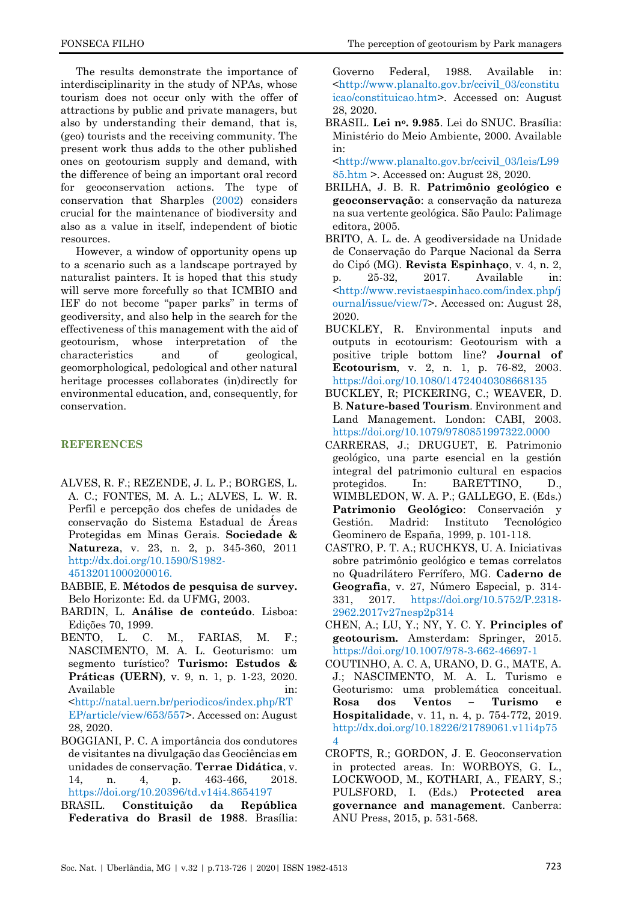The results demonstrate the importance of interdisciplinarity in the study of NPAs, whose tourism does not occur only with the offer of attractions by public and private managers, but also by understanding their demand, that is, (geo) tourists and the receiving community. The present work thus adds to the other published ones on geotourism supply and demand, with the difference of being an important oral record for geoconservation actions. The type of conservation that Sharples [\(2002\)](#page-13-3) considers crucial for the maintenance of biodiversity and also as a value in itself, independent of biotic resources.

However, a window of opportunity opens up to a scenario such as a landscape portrayed by naturalist painters. It is hoped that this study will serve more forcefully so that ICMBIO and IEF do not become "paper parks" in terms of geodiversity, and also help in the search for the effectiveness of this management with the aid of geotourism, whose interpretation of the characteristics and of geological, geomorphological, pedological and other natural heritage processes collaborates (in)directly for environmental education, and, consequently, for conservation.

# **REFERENCES**

- <span id="page-10-11"></span>ALVES, R. F.; REZENDE, J. L. P.; BORGES, L. A. C.; FONTES, M. A. L.; ALVES, L. W. R. Perfil e percepção dos chefes de unidades de conservação do Sistema Estadual de Áreas Protegidas em Minas Gerais. **Sociedade & Natureza**, v. 23, n. 2, p. 345-360, 2011 [http://dx.doi.org/10.1590/S1982-](http://dx.doi.org/10.1590/S1982-45132011000200016.) [45132011000200016.](http://dx.doi.org/10.1590/S1982-45132011000200016.)
- <span id="page-10-8"></span>BABBIE, E. **Métodos de pesquisa de survey.** Belo Horizonte: Ed. da UFMG, 2003.
- <span id="page-10-9"></span>BARDIN, L. **Análise de conteúdo**. Lisboa: Edições 70, 1999.
- <span id="page-10-1"></span>BENTO, L. C. M., FARIAS, M. F.; NASCIMENTO, M. A. L. Geoturismo: um segmento turístico? **Turismo: Estudos & Práticas (UERN)***,* v. 9, n. 1, p. 1-23, 2020. Available in: [<http://natal.uern.br/periodicos/index.php/RT](http://natal.uern.br/periodicos/index.php/RTEP/article/view/653/557) [EP/article/view/653/557>](http://natal.uern.br/periodicos/index.php/RTEP/article/view/653/557). Accessed on: August 28, 2020.
- BOGGIANI, P. C. A importância dos condutores de visitantes na divulgação das Geociências em unidades de conservação. **Terrae Didática**, v. 14, n. 4, p. 463-466, 2018. <https://doi.org/10.20396/td.v14i4.8654197>
- <span id="page-10-2"></span>BRASIL. **Constituição da República Federativa do Brasil de 1988**. Brasília:

<span id="page-10-0"></span>Governo Federal, 1988. Available in: [<http://www.planalto.gov.br/ccivil\\_03/constitu](http://www.planalto.gov.br/ccivil_03/constituicao/constituicao.htm) [icao/constituicao.htm>](http://www.planalto.gov.br/ccivil_03/constituicao/constituicao.htm). Accessed on: August 28, 2020.

BRASIL. **Lei no. 9.985**. Lei do SNUC. Brasília: Ministério do Meio Ambiente, 2000. Available in:

<span id="page-10-10"></span>[<http://www.planalto.gov.br/ccivil\\_03/leis/L99](http://www.planalto.gov.br/ccivil_03/leis/L9985.htm) [85.htm](http://www.planalto.gov.br/ccivil_03/leis/L9985.htm) >. Accessed on: August 28, 2020.

- BRILHA, J. B. R. **Patrimônio geológico e geoconservação**: a conservação da natureza na sua vertente geológica. São Paulo: Palimage editora, 2005.
- <span id="page-10-7"></span>BRITO, A. L. de. A geodiversidade na Unidade de Conservação do Parque Nacional da Serra do Cipó (MG). **Revista Espinhaço**, v. 4, n. 2, p. 25-32, 2017. Available in: [<http://www.revistaespinhaco.com/index.php/j](http://www.revistaespinhaco.com/index.php/journal/issue/view/7) [ournal/issue/view/7>](http://www.revistaespinhaco.com/index.php/journal/issue/view/7). Accessed on: August 28, 2020.
- BUCKLEY, R. Environmental inputs and outputs in ecotourism: Geotourism with a positive triple bottom line? **Journal of Ecotourism**, v. 2, n. 1, p. 76-82, 2003. <https://doi.org/10.1080/14724040308668135>
- <span id="page-10-6"></span>BUCKLEY, R; PICKERING, C.; WEAVER, D. B. **Nature-based Tourism**. Environment and Land Management. London: CABI, 2003. <https://doi.org/10.1079/9780851997322.0000>
- <span id="page-10-3"></span>CARRERAS, J.; DRUGUET, E. Patrimonio geológico, una parte esencial en la gestión integral del patrimonio cultural en espacios protegidos. In: BARETTINO, D., WIMBLEDON, W. A. P.; GALLEGO, E. (Eds.) **Patrimonio Geológico**: Conservación y Gestión. Madrid: Instituto Tecnológico Geominero de España, 1999, p. 101-118.
- CASTRO, P. T. A.; RUCHKYS, U. A. Iniciativas sobre patrimônio geológico e temas correlatos no Quadrilátero Ferrífero, MG. **Caderno de Geografia**, v. 27, Número Especial, p. 314- 331, 2017. [https://doi.org/10.5752/P.2318-](https://doi.org/10.5752/P.2318-2962.2017v27nesp2p314) [2962.2017v27nesp2p314](https://doi.org/10.5752/P.2318-2962.2017v27nesp2p314)
- CHEN, A.; LU, Y.; NY, Y. C. Y. **Principles of geotourism.** Amsterdam: Springer, 2015. <https://doi.org/10.1007/978-3-662-46697-1>
- <span id="page-10-5"></span>COUTINHO, A. C. A, URANO, D. G., MATE, A. J.; NASCIMENTO, M. A. L. Turismo e Geoturismo: uma problemática conceitual. **Rosa dos Ventos – Turismo e Hospitalidade**, v. 11, n. 4, p. 754-772, 2019. [http://dx.doi.org/10.18226/21789061.v11i4p75](http://dx.doi.org/10.18226/21789061.v11i4p754) [4](http://dx.doi.org/10.18226/21789061.v11i4p754)
- <span id="page-10-12"></span><span id="page-10-4"></span>CROFTS, R.; GORDON, J. E. Geoconservation in protected areas. In: WORBOYS, G. L., LOCKWOOD, M., KOTHARI, A., FEARY, S.; PULSFORD, I. (Eds.) **Protected area governance and management***.* Canberra: ANU Press, 2015, p. 531-568.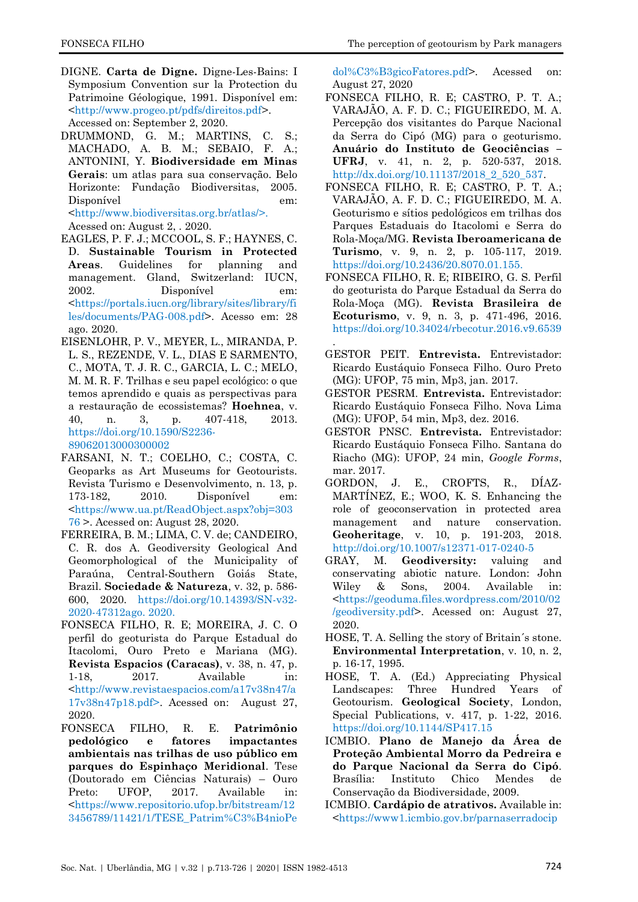- DIGNE. **Carta de Digne.** Digne-Les-Bains: I Symposium Convention sur la Protection du Patrimoine Géologique, 1991. Disponível em: [<http://www.progeo.pt/pdfs/direitos.pdf>](http://www.progeo.pt/pdfs/direitos.pdf). Accessed on: September 2, 2020.
- <span id="page-11-6"></span>DRUMMOND, G. M.; MARTINS, C. S.; MACHADO, A. B. M.; SEBAIO, F. A.; ANTONINI, Y. **Biodiversidade em Minas Gerais**: um atlas para sua conservação. Belo Horizonte: Fundação Biodiversitas, 2005. Disponível em: [<http://www.biodiversitas.org.br/atlas/>.](http://www.biodiversitas.org.br/atlas/%3e.)

Acessed on: August 2, . 2020.

- <span id="page-11-1"></span>EAGLES, P. F. J.; MCCOOL, S. F.; HAYNES, C. D. **Sustainable Tourism in Protected Areas**. Guidelines for planning and management. Gland, Switzerland: IUCN, 2002. Disponível em: [<https://portals.iucn.org/library/sites/library/fi](https://portals.iucn.org/library/sites/library/files/documents/PAG-008.pdf) [les/documents/PAG-008.pdf>](https://portals.iucn.org/library/sites/library/files/documents/PAG-008.pdf). Acesso em: 28 ago. 2020.
- <span id="page-11-14"></span>EISENLOHR, P. V., MEYER, L., MIRANDA, P. L. S., REZENDE, V. L., DIAS E SARMENTO, C., MOTA, T. J. R. C., GARCIA, L. C.; MELO, M. M. R. F. Trilhas e seu papel ecológico: o que temos aprendido e quais as perspectivas para a restauração de ecossistemas? **Hoehnea**, v. 40, n. 3, p. 407-418, 2013. [https://doi.org/10.1590/S2236-](https://doi.org/10.1590/S2236-89062013000300002) [89062013000300002](https://doi.org/10.1590/S2236-89062013000300002)
- <span id="page-11-4"></span>FARSANI, N. T.; COELHO, C.; COSTA, C. Geoparks as Art Museums for Geotourists. Revista Turismo e Desenvolvimento, n. 13, p. 173-182, 2010. Disponível em: [<https://www.ua.pt/ReadObject.aspx?obj=303](https://www.ua.pt/ReadObject.aspx?obj=30376) [76](https://www.ua.pt/ReadObject.aspx?obj=30376) >. Acessed on: August 28, 2020.
- <span id="page-11-17"></span>FERREIRA, B. M.; LIMA, C. V. de; CANDEIRO, C. R. dos A. Geodiversity Geological And Geomorphological of the Municipality of Paraúna, Central-Southern Goiás State, Brazil. **Sociedade & Natureza**, v. 32, p. 586- 600, 2020. [https://doi.org/10.14393/SN-v32-](https://doi.org/10.14393/SN-v32-2020-47312ago.%202020.) [2020-47312ago. 2020.](https://doi.org/10.14393/SN-v32-2020-47312ago.%202020.)
- FONSECA FILHO, R. E; MOREIRA, J. C. O perfil do geoturista do Parque Estadual do Itacolomi, Ouro Preto e Mariana (MG). **Revista Espacios (Caracas)**, v. 38, n. 47, p. 1-18, 2017. Available in: [<http://www.revistaespacios.com/a17v38n47/a](http://www.revistaespacios.com/a17v38n47/a17v38n47p18.pdf) [17v38n47p18.pdf>](http://www.revistaespacios.com/a17v38n47/a17v38n47p18.pdf). Acessed on: August 27, 2020.
- <span id="page-11-7"></span>FONSECA FILHO, R. E. **Patrimônio pedológico e fatores impactantes ambientais nas trilhas de uso público em parques do Espinhaço Meridional**. Tese (Doutorado em Ciências Naturais) – Ouro Preto: UFOP, 2017. Available in: [<https://www.repositorio.ufop.br/bitstream/12](https://www.repositorio.ufop.br/bitstream/123456789/11421/1/TESE_Patrim%C3%B4nioPedol%C3%B3gicoFatores.pdf) [3456789/11421/1/TESE\\_Patrim%C3%B4nioPe](https://www.repositorio.ufop.br/bitstream/123456789/11421/1/TESE_Patrim%C3%B4nioPedol%C3%B3gicoFatores.pdf)

<span id="page-11-9"></span>[dol%C3%B3gicoFatores.pdf>](https://www.repositorio.ufop.br/bitstream/123456789/11421/1/TESE_Patrim%C3%B4nioPedol%C3%B3gicoFatores.pdf). Acessed on: August 27, 2020

- FONSECA FILHO, R. E; CASTRO, P. T. A.; VARAJÃO, A. F. D. C.; FIGUEIREDO, M. A. Percepção dos visitantes do Parque Nacional da Serra do Cipó (MG) para o geoturismo. **Anuário do Instituto de Geociências – UFRJ**, v. 41, n. 2, p. 520-537, 2018. [http://dx.doi.org/10.11137/2018\\_2\\_520\\_537.](http://dx.doi.org/10.11137/2018_2_520_537)
- <span id="page-11-15"></span>FONSECA FILHO, R. E; CASTRO, P. T. A.; VARAJÃO, A. F. D. C.; FIGUEIREDO, M. A. Geoturismo e sítios pedológicos em trilhas dos Parques Estaduais do Itacolomi e Serra do Rola-Moça/MG. **Revista Iberoamericana de Turismo**, v. 9, n. 2, p. 105-117, 2019. <https://doi.org/10.2436/20.8070.01.155.>
- <span id="page-11-8"></span>FONSECA FILHO, R. E; RIBEIRO, G. S. Perfil do geoturista do Parque Estadual da Serra do Rola-Moça (MG). **Revista Brasileira de Ecoturismo**, v. 9, n. 3, p. 471-496, 2016. <https://doi.org/10.34024/rbecotur.2016.v9.6539>
- <span id="page-11-10"></span>. GESTOR PEIT. **Entrevista.** Entrevistador: Ricardo Eustáquio Fonseca Filho. Ouro Preto (MG): UFOP, 75 min, Mp3, jan. 2017.
- <span id="page-11-11"></span>GESTOR PESRM. **Entrevista.** Entrevistador: Ricardo Eustáquio Fonseca Filho. Nova Lima (MG): UFOP, 54 min, Mp3, dez. 2016.
- <span id="page-11-13"></span>GESTOR PNSC. **Entrevista.** Entrevistador: Ricardo Eustáquio Fonseca Filho. Santana do Riacho (MG): UFOP, 24 min, *Google Forms*, mar. 2017.
- <span id="page-11-16"></span>GORDON, J. E., CROFTS, R., DÍAZ-MARTÍNEZ, E.; WOO, K. S. Enhancing the role of geoconservation in protected area management and nature conservation. **Geoheritage**, v. 10, p. 191-203, 2018. <http://doi.org/10.1007/s12371-017-0240-5>
- <span id="page-11-0"></span>GRAY, M. **Geodiversity:** valuing and conservating abiotic nature. London: John Wiley & Sons, 2004. Available in: [<https://geoduma.files.wordpress.com/2010/02](https://geoduma.files.wordpress.com/2010/02/geodiversity.pdf) [/geodiversity.pdf>](https://geoduma.files.wordpress.com/2010/02/geodiversity.pdf). Acessed on: August 27, 2020.
- <span id="page-11-3"></span>HOSE, T. A. Selling the story of Britain´s stone. **Environmental Interpretation**, v. 10, n. 2, p. 16-17, 1995.
- <span id="page-11-2"></span>HOSE, T. A. (Ed.) Appreciating Physical Landscapes: Three Hundred Years of Geotourism. **Geological Society**, London, Special Publications, v. 417, p. 1-22, 2016. <https://doi.org/10.1144/SP417.15>
- <span id="page-11-5"></span>ICMBIO. **Plano de Manejo da Área de Proteção Ambiental Morro da Pedreira e do Parque Nacional da Serra do Cipó**. Brasília: Instituto Chico Mendes de Conservação da Biodiversidade, 2009.
- <span id="page-11-12"></span>ICMBIO. **Cardápio de atrativos.** Available in: [<https://www1.icmbio.gov.br/parnaserradocip](https://www1.icmbio.gov.br/parnaserradocipo/images/stories/guia_do_visitante/Cardapio_FINAL.pdf)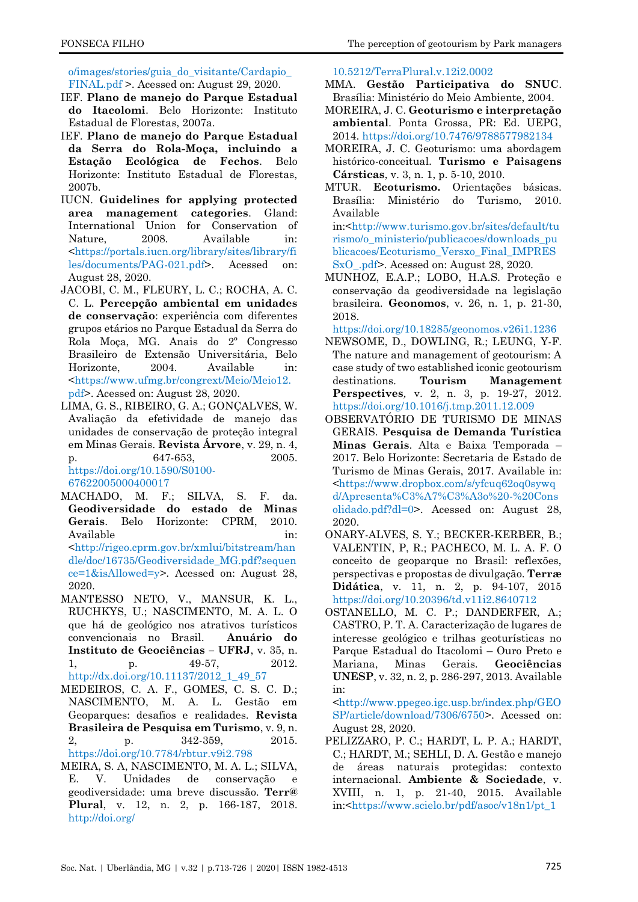<span id="page-12-10"></span>[o/images/stories/guia\\_do\\_visitante/Cardapio\\_](https://www1.icmbio.gov.br/parnaserradocipo/images/stories/guia_do_visitante/Cardapio_FINAL.pdf) [FINAL.pdf](https://www1.icmbio.gov.br/parnaserradocipo/images/stories/guia_do_visitante/Cardapio_FINAL.pdf) >. Acessed on: August 29, 2020.

- IEF. **Plano de manejo do Parque Estadual do Itacolomi**. Belo Horizonte: Instituto Estadual de Florestas, 2007a.
- <span id="page-12-9"></span>IEF. **Plano de manejo do Parque Estadual da Serra do Rola-Moça, incluindo a Estação Ecológica de Fechos**. Belo Horizonte: Instituto Estadual de Florestas, 2007b.
- <span id="page-12-16"></span>IUCN. **Guidelines for applying protected area management categories**. Gland: International Union for Conservation of Nature, 2008. Available in: [<https://portals.iucn.org/library/sites/library/fi](https://portals.iucn.org/library/sites/library/files/documents/PAG-021.pdf) [les/documents/PAG-021.pdf>](https://portals.iucn.org/library/sites/library/files/documents/PAG-021.pdf). Acessed on: August 28, 2020.
- JACOBI, C. M., FLEURY, L. C.; ROCHA, A. C. C. L. **Percepção ambiental em unidades de conservação**: experiência com diferentes grupos etários no Parque Estadual da Serra do Rola Moça, MG. Anais do 2º Congresso Brasileiro de Extensão Universitária, Belo Horizonte, 2004. Available in: [<https://www.ufmg.br/congrext/Meio/Meio12.](https://www.ufmg.br/congrext/Meio/Meio12.pdf) [pdf>](https://www.ufmg.br/congrext/Meio/Meio12.pdf). Acessed on: August 28, 2020.
- <span id="page-12-7"></span>LIMA, G. S., RIBEIRO, G. A.; GONÇALVES, W. Avaliação da efetividade de manejo das unidades de conservação de proteção integral em Minas Gerais. **Revista Árvore**, v. 29, n. 4, p. 647-653, 2005. [https://doi.org/10.1590/S0100-](https://doi.org/10.1590/S0100-67622005000400017) [67622005000400017](https://doi.org/10.1590/S0100-67622005000400017)
- <span id="page-12-11"></span>MACHADO, M. F.; SILVA, S. F. da. **Geodiversidade do estado de Minas Gerais**. Belo Horizonte: CPRM, 2010. Available in: in: [<http://rigeo.cprm.gov.br/xmlui/bitstream/han](http://rigeo.cprm.gov.br/xmlui/bitstream/handle/doc/16735/Geodiversidade_MG.pdf?sequence=1&isAllowed=y) [dle/doc/16735/Geodiversidade\\_MG.pdf?sequen](http://rigeo.cprm.gov.br/xmlui/bitstream/handle/doc/16735/Geodiversidade_MG.pdf?sequence=1&isAllowed=y) [ce=1&isAllowed=y>](http://rigeo.cprm.gov.br/xmlui/bitstream/handle/doc/16735/Geodiversidade_MG.pdf?sequence=1&isAllowed=y). Acessed on: August 28, 2020.
- <span id="page-12-1"></span>MANTESSO NETO, V., MANSUR, K. L., RUCHKYS, U.; NASCIMENTO, M. A. L. O que há de geológico nos atrativos turísticos convencionais no Brasil. **Anuário do Instituto de Geociências – UFRJ**, v. 35, n. p. 49-57, 2012. [http://dx.doi.org/10.11137/2012\\_1\\_49\\_57](http://dx.doi.org/10.11137/2012_1_49_57)
- <span id="page-12-2"></span>MEDEIROS, C. A. F., GOMES, C. S. C. D.; NASCIMENTO, M. A. L. Gestão em Geoparques: desafios e realidades. **Revista Brasileira de Pesquisa em Turismo**, v. 9, n. 2, p. 342-359, 2015. <https://doi.org/10.7784/rbtur.v9i2.798>
- <span id="page-12-5"></span>MEIRA, S. A, NASCIMENTO, M. A. L.; SILVA, E. V. Unidades de conservação e geodiversidade: uma breve discussão. **Terr@ Plural**, v. 12, n. 2, p. 166-187, 2018. [http://doi.org/](http://doi.org/%2010.5212/TerraPlural.v.12i2.0002)

[10.5212/TerraPlural.v.12i2.0002](http://doi.org/%2010.5212/TerraPlural.v.12i2.0002)

- <span id="page-12-3"></span>MMA. **Gestão Participativa do SNUC**. Brasília: Ministério do Meio Ambiente, 2004.
- <span id="page-12-17"></span>MOREIRA, J. C. **Geoturismo e interpretação ambiental**. Ponta Grossa, PR: Ed. UEPG, 2014.<https://doi.org/10.7476/9788577982134>
- <span id="page-12-8"></span>MOREIRA, J. C. Geoturismo: uma abordagem histórico-conceitual. **Turismo e Paisagens Cársticas**, v. 3, n. 1, p. 5-10, 2010.
- <span id="page-12-18"></span>MTUR. **Ecoturismo.** Orientações básicas. Brasília: Ministério do Turismo, 2010. Available

in:[<http://www.turismo.gov.br/sites/default/tu](http://www.turismo.gov.br/sites/default/turismo/o_ministerio/publicacoes/downloads_publicacoes/Ecoturismo_Versxo_Final_IMPRESSxO_.pdf) [rismo/o\\_ministerio/publicacoes/downloads\\_pu](http://www.turismo.gov.br/sites/default/turismo/o_ministerio/publicacoes/downloads_publicacoes/Ecoturismo_Versxo_Final_IMPRESSxO_.pdf) [blicacoes/Ecoturismo\\_Versxo\\_Final\\_IMPRES](http://www.turismo.gov.br/sites/default/turismo/o_ministerio/publicacoes/downloads_publicacoes/Ecoturismo_Versxo_Final_IMPRESSxO_.pdf) [SxO\\_.pdf>](http://www.turismo.gov.br/sites/default/turismo/o_ministerio/publicacoes/downloads_publicacoes/Ecoturismo_Versxo_Final_IMPRESSxO_.pdf). Acessed on: August 28, 2020.

<span id="page-12-15"></span><span id="page-12-6"></span>MUNHOZ, E.A.P.; LOBO, H.A.S. Proteção e conservação da geodiversidade na legislação brasileira*.* **Geonomos**, v. 26, n. 1, p. 21-30, 2018.

<https://doi.org/10.18285/geonomos.v26i1.1236>

- <span id="page-12-14"></span>NEWSOME, D., DOWLING, R.; LEUNG, Y-F. The nature and management of geotourism: A case study of two established iconic geotourism destinations. **Tourism Management Perspectives***,* v. 2, n. 3, p. 19-27, 2012. <https://doi.org/10.1016/j.tmp.2011.12.009>
- <span id="page-12-13"></span>OBSERVATÓRIO DE TURISMO DE MINAS GERAIS. **Pesquisa de Demanda Turística Minas Gerais**. Alta e Baixa Temporada – 2017. Belo Horizonte: Secretaria de Estado de Turismo de Minas Gerais, 2017. Available in: [<https://www.dropbox.com/s/yfcuq62oq0sywq](https://www.dropbox.com/s/yfcuq62oq0sywqd/Apresenta%C3%A7%C3%A3o%20-%20Consolidado.pdf?dl=0) [d/Apresenta%C3%A7%C3%A3o%20-%20Cons](https://www.dropbox.com/s/yfcuq62oq0sywqd/Apresenta%C3%A7%C3%A3o%20-%20Consolidado.pdf?dl=0) [olidado.pdf?dl=0>](https://www.dropbox.com/s/yfcuq62oq0sywqd/Apresenta%C3%A7%C3%A3o%20-%20Consolidado.pdf?dl=0). Acessed on: August 28, 2020.
- <span id="page-12-0"></span>ONARY-ALVES, S. Y.; BECKER-KERBER, B.; VALENTIN, P, R.; PACHECO, M. L. A. F. O conceito de geoparque no Brasil: reflexões, perspectivas e propostas de divulgação. **Terræ Didática**, v. 11, n. 2, p. 94-107, 2015 <https://doi.org/10.20396/td.v11i2.8640712>
- <span id="page-12-12"></span>OSTANELLO, M. C. P.; DANDERFER, A.; CASTRO, P. T. A. Caracterização de lugares de interesse geológico e trilhas geoturísticas no Parque Estadual do Itacolomi – Ouro Preto e Mariana, Minas Gerais. **Geociências UNESP**, v. 32, n. 2, p. 286-297, 2013. Available in:

<span id="page-12-4"></span>[<http://www.ppegeo.igc.usp.br/index.php/GEO](http://www.ppegeo.igc.usp.br/index.php/GEOSP/article/download/7306/6750) [SP/article/download/7306/6750>](http://www.ppegeo.igc.usp.br/index.php/GEOSP/article/download/7306/6750). Acessed on: August 28, 2020.

PELIZZARO, P. C.; HARDT, L. P. A.; HARDT, C.; HARDT, M.; SEHLI, D. A. Gestão e manejo de áreas naturais protegidas: contexto internacional. **Ambiente & Sociedade**, v. XVIII, n. 1, p. 21-40, 2015. Available in:[<https://www.scielo.br/pdf/asoc/v18n1/pt\\_1](https://www.scielo.br/pdf/asoc/v18n1/pt_1414-753X-asoc-18-01-00019.pdf)